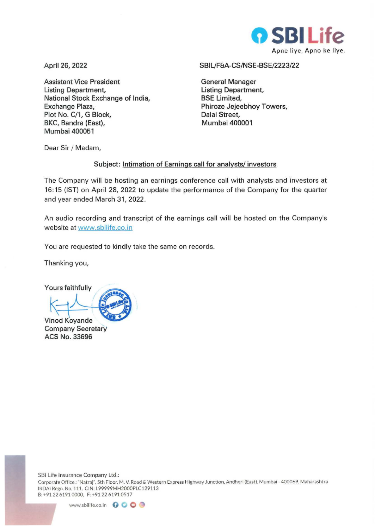

**April 26, 2022** 

**Assistant Vice President Listing Department, National Stock Exchange of India, Exchange Plaza, Plot No. C/1, G Block, BKC, Bandra (East), M umbai 400051** 

#### **SBIL/F&A-CS/NSE-BSE/2223/22**

**General Manager Listing Department, BSE Limited, Phiroze Jejeebhoy Towers, Dalal Street, Mumbai 400001** 

Dear Sir / Madam,

### **Subject: Intimation of Earnings call for analysts/ investors**

The Company will be hosting an earnings conference call with analysts and investors at 16:15 (IST) on April 28, 2022 to update the performance of the Company for the quarter and year ended March 31, 2022.

An audio recording and transcript of the earnings call will be hosted on the Company's website at www.sbilife.co.in

You are requested to kindly take the same on records.

Thanking you,

**Yours faithfully** 

 $\sqrt{2}$ **Vinod Koyande** 

**Company Secretary ACS No. 33696**